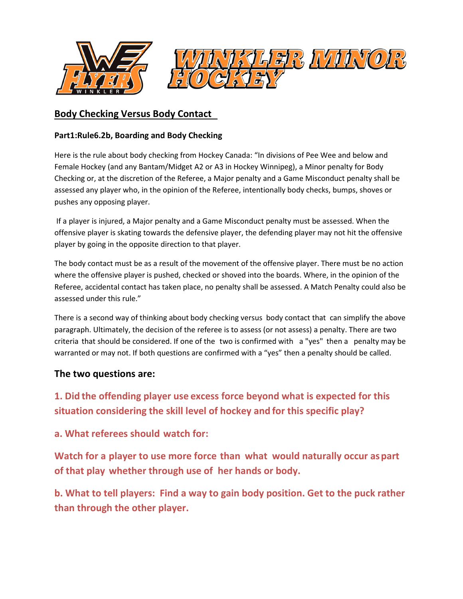

## **Body Checking Versus Body Contact**

## **Part1:Rule6.2b, Boarding and Body Checking**

Here is the rule about body checking from Hockey Canada: "In divisions of Pee Wee and below and Female Hockey (and any Bantam/Midget A2 or A3 in Hockey Winnipeg), a Minor penalty for Body Checking or, at the discretion of the Referee, a Major penalty and a Game Misconduct penalty shall be assessed any player who, in the opinion of the Referee, intentionally body checks, bumps, shoves or pushes any opposing player.

 If a player is injured, a Major penalty and a Game Misconduct penalty must be assessed. When the offensive player is skating towards the defensive player, the defending player may not hit the offensive player by going in the opposite direction to that player.

The body contact must be as a result of the movement of the offensive player. There must be no action where the offensive player is pushed, checked or shoved into the boards. Where, in the opinion of the Referee, accidental contact has taken place, no penalty shall be assessed. A Match Penalty could also be assessed under this rule."

There is a second way of thinking about body checking versus body contact that can simplify the above paragraph. Ultimately, the decision of the referee is to assess (or not assess) a penalty. There are two criteria that should be considered. If one of the two is confirmed with a "yes" then a penalty may be warranted or may not. If both questions are confirmed with a "yes" then a penalty should be called.

## **The two questions are:**

**1. Did the offending player use excess force beyond what is expected for this situation considering the skill level of hockey and for this specific play?** 

**a. What referees should watch for:** 

**Watch for a player to use more force than what would naturally occur as part of that play whether through use of her hands or body.** 

**b. What to tell players: Find a way to gain body position. Get to the puck rather than through the other player.**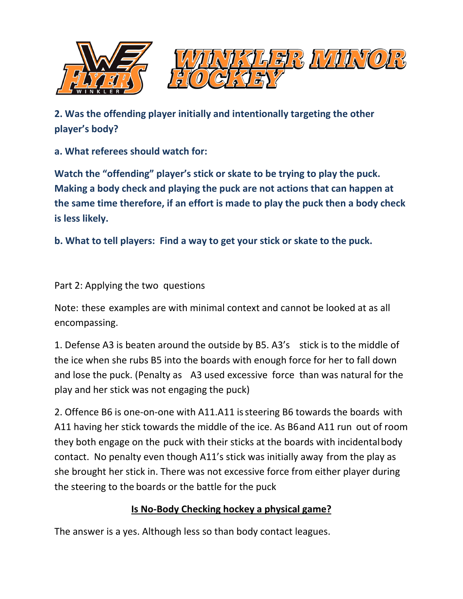

**2. Was the offending player initially and intentionally targeting the other player's body?** 

**a. What referees should watch for:** 

**Watch the "offending" player's stick or skate to be trying to play the puck. Making a body check and playing the puck are not actions that can happen at the same time therefore, if an effort is made to play the puck then a body check is less likely.** 

**b. What to tell players: Find a way to get your stick or skate to the puck.** 

Part 2: Applying the two questions

Note: these examples are with minimal context and cannot be looked at as all encompassing.

1. Defense A3 is beaten around the outside by B5. A3's stick is to the middle of the ice when she rubs B5 into the boards with enough force for her to fall down and lose the puck. (Penalty as A3 used excessive force than was natural for the play and her stick was not engaging the puck)

2. Offence B6 is one-on-one with A11. A11 is steering B6 towards the boards with A11 having her stick towards the middle of the ice. As B6 and A11 run out of room they both engage on the puck with their sticks at the boards with incidental body contact. No penalty even though A11's stick was initially away from the play as she brought her stick in. There was not excessive force from either player during the steering to the boards or the battle for the puck

## **Is No-Body Checking hockey a physical game?**

The answer is a yes. Although less so than body contact leagues.